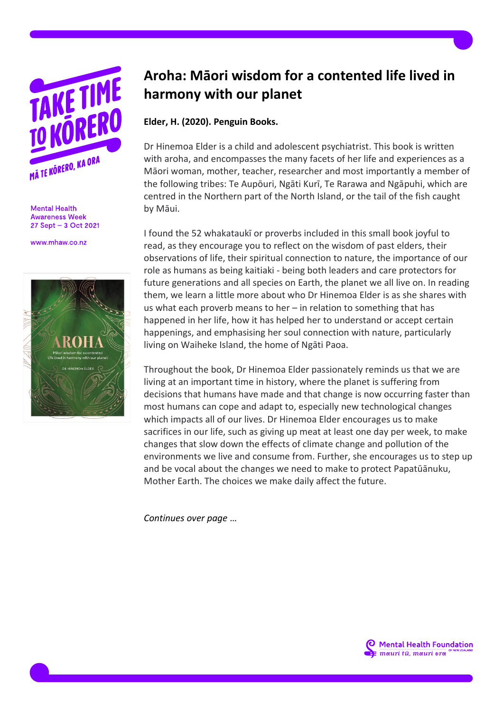

**Mental Health Awareness Week** 27 Sept - 3 Oct 2021

www.mhaw.co.nz



## **Aroha: Māori wisdom for a contented life lived in harmony with our planet**

## **Elder, H. (2020). Penguin Books.**

Dr Hinemoa Elder is a child and adolescent psychiatrist. This book is written with aroha, and encompasses the many facets of her life and experiences as a Māori woman, mother, teacher, researcher and most importantly a member of the following tribes: Te Aupōuri, Ngāti Kurī, Te Rarawa and Ngāpuhi, which are centred in the Northern part of the North Island, or the tail of the fish caught by Māui.

I found the 52 whakataukī or proverbs included in this small book joyful to read, as they encourage you to reflect on the wisdom of past elders, their observations of life, their spiritual connection to nature, the importance of our role as humans as being kaitiaki - being both leaders and care protectors for future generations and all species on Earth, the planet we all live on. In reading them, we learn a little more about who Dr Hinemoa Elder is as she shares with us what each proverb means to her – in relation to something that has happened in her life, how it has helped her to understand or accept certain happenings, and emphasising her soul connection with nature, particularly living on Waiheke Island, the home of Ngāti Paoa.

Throughout the book, Dr Hinemoa Elder passionately reminds us that we are living at an important time in history, where the planet is suffering from decisions that humans have made and that change is now occurring faster than most humans can cope and adapt to, especially new technological changes which impacts all of our lives. Dr Hinemoa Elder encourages us to make sacrifices in our life, such as giving up meat at least one day per week, to make changes that slow down the effects of climate change and pollution of the environments we live and consume from. Further, she encourages us to step up and be vocal about the changes we need to make to protect Papatūānuku, Mother Earth. The choices we make daily affect the future.

*Continues over page* …